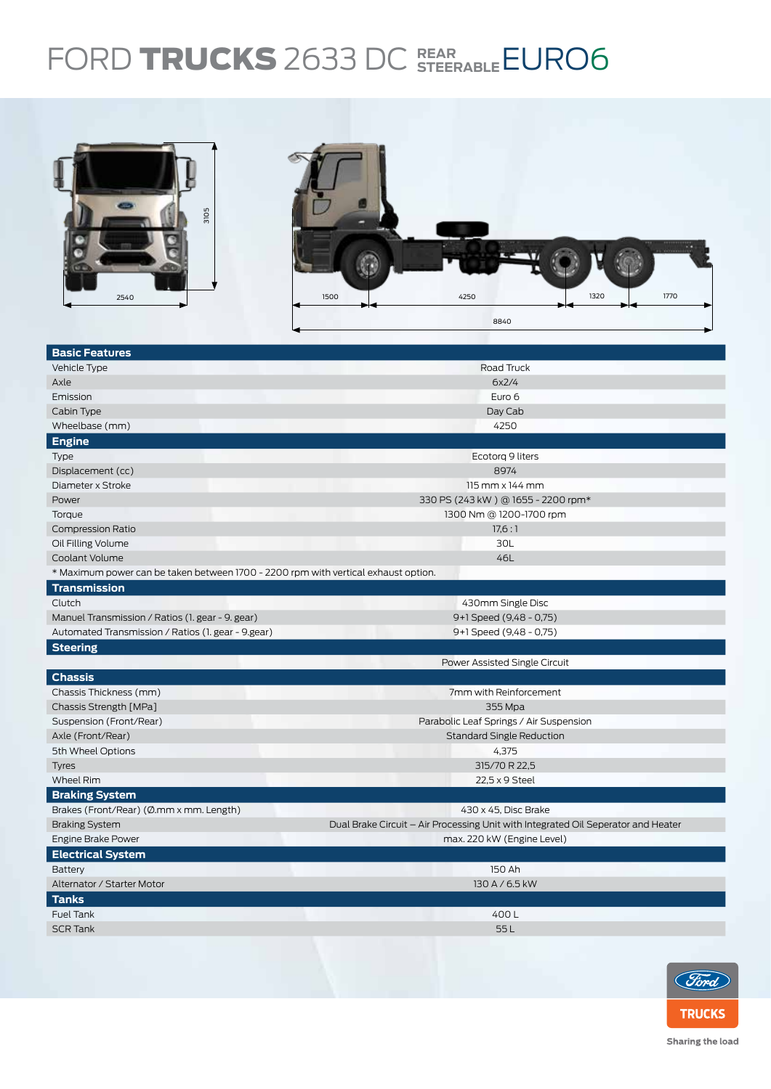## FORD TRUCKS 2633 DC STEERABLE EURO6



| <b>Basic Features</b>                                                              |                                                                                   |  |  |  |  |
|------------------------------------------------------------------------------------|-----------------------------------------------------------------------------------|--|--|--|--|
| Vehicle Type                                                                       | Road Truck                                                                        |  |  |  |  |
| Axle                                                                               | 6x2/4                                                                             |  |  |  |  |
| Emission                                                                           | Euro 6                                                                            |  |  |  |  |
| Cabin Type                                                                         | Day Cab                                                                           |  |  |  |  |
| Wheelbase (mm)                                                                     | 4250                                                                              |  |  |  |  |
| <b>Engine</b>                                                                      |                                                                                   |  |  |  |  |
| Type                                                                               | Ecotorg 9 liters                                                                  |  |  |  |  |
| Displacement (cc)                                                                  | 8974                                                                              |  |  |  |  |
| Diameter x Stroke                                                                  | 115 mm x 144 mm                                                                   |  |  |  |  |
| Power                                                                              | 330 PS (243 kW) @ 1655 - 2200 rpm*                                                |  |  |  |  |
| Torque                                                                             | 1300 Nm @ 1200-1700 rpm                                                           |  |  |  |  |
| <b>Compression Ratio</b>                                                           | 17,6:1                                                                            |  |  |  |  |
| Oil Filling Volume                                                                 | 30L                                                                               |  |  |  |  |
| Coolant Volume                                                                     | 46L                                                                               |  |  |  |  |
| * Maximum power can be taken between 1700 - 2200 rpm with vertical exhaust option. |                                                                                   |  |  |  |  |
| <b>Transmission</b>                                                                |                                                                                   |  |  |  |  |
| Clutch                                                                             | 430mm Single Disc                                                                 |  |  |  |  |
| Manuel Transmission / Ratios (1. gear - 9. gear)                                   | 9+1 Speed (9,48 - 0,75)                                                           |  |  |  |  |
| Automated Transmission / Ratios (1. gear - 9. gear)                                | 9+1 Speed (9,48 - 0,75)                                                           |  |  |  |  |
| <b>Steering</b>                                                                    |                                                                                   |  |  |  |  |
|                                                                                    | Power Assisted Single Circuit                                                     |  |  |  |  |
| <b>Chassis</b>                                                                     |                                                                                   |  |  |  |  |
| Chassis Thickness (mm)                                                             | 7mm with Reinforcement                                                            |  |  |  |  |
| Chassis Strength [MPa]                                                             | 355 Mpa                                                                           |  |  |  |  |
| Suspension (Front/Rear)                                                            | Parabolic Leaf Springs / Air Suspension                                           |  |  |  |  |
| Axle (Front/Rear)                                                                  | <b>Standard Single Reduction</b>                                                  |  |  |  |  |
| 5th Wheel Options                                                                  | 4,375                                                                             |  |  |  |  |
| <b>Tyres</b>                                                                       | 315/70 R 22,5                                                                     |  |  |  |  |
| <b>Wheel Rim</b>                                                                   | 22,5 x 9 Steel                                                                    |  |  |  |  |
| <b>Braking System</b>                                                              |                                                                                   |  |  |  |  |
| Brakes (Front/Rear) (Ø.mm x mm. Length)                                            | 430 x 45, Disc Brake                                                              |  |  |  |  |
| <b>Braking System</b>                                                              | Dual Brake Circuit - Air Processing Unit with Integrated Oil Seperator and Heater |  |  |  |  |
| Engine Brake Power                                                                 | max. 220 kW (Engine Level)                                                        |  |  |  |  |
| <b>Electrical System</b>                                                           |                                                                                   |  |  |  |  |
| Battery                                                                            | 150 Ah                                                                            |  |  |  |  |
| Alternator / Starter Motor                                                         | 130 A / 6.5 kW                                                                    |  |  |  |  |
| <b>Tanks</b>                                                                       |                                                                                   |  |  |  |  |
| <b>Fuel Tank</b>                                                                   | 400L                                                                              |  |  |  |  |
| <b>SCR Tank</b>                                                                    | 55L                                                                               |  |  |  |  |
|                                                                                    |                                                                                   |  |  |  |  |
|                                                                                    |                                                                                   |  |  |  |  |



Sharing the load